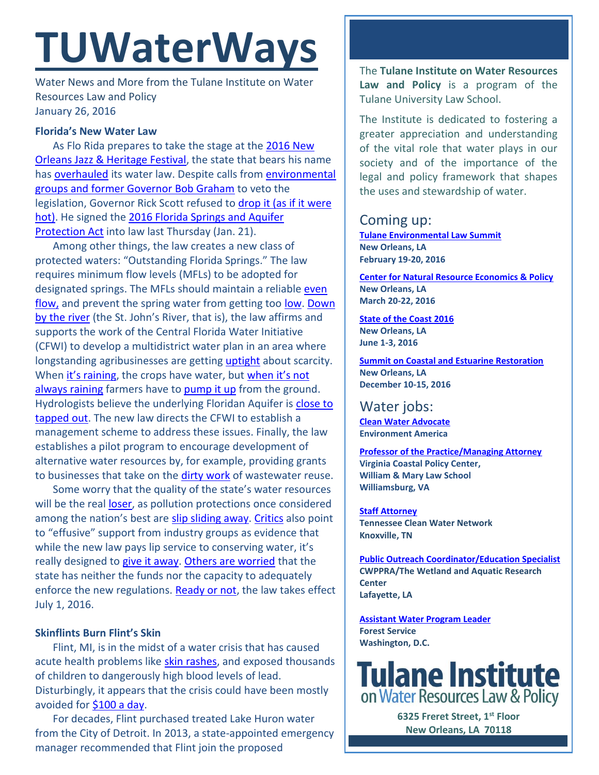# **TUWaterWays**

Water News and More from the Tulane Institute on Water Resources Law and Policy January 26, 2016

# **Florida's New Water Law**

As Flo Rida prepares to take the stage at the [2016 New](http://lineup.nojazzfest.com/)  [Orleans Jazz & Heritage Festival,](http://lineup.nojazzfest.com/) the state that bears his name has [overhauled](http://news.wfsu.org/post/governor-scott-signs-water-policy-unique-abilities-bills-law) its water law. Despite calls fro[m environmental](http://www.miamiherald.com/news/local/environment/article55685495.html)  [groups and former Governor Bob Graham](http://www.miamiherald.com/news/local/environment/article55685495.html) to veto the legislation, Governor Rick Scott refused to [drop it \(as if it were](https://www.youtube.com/watch?v=3tQ9RoR3rOQ)  [hot\).](https://www.youtube.com/watch?v=3tQ9RoR3rOQ) He signed the [2016 Florida Springs and Aquifer](https://www.flsenate.gov/Session/Bill/2016/0552) [Protection Act](https://www.flsenate.gov/Session/Bill/2016/0552) into law last Thursday (Jan. 21).

Among other things, the law creates a new class of protected waters: "Outstanding Florida Springs." The law requires minimum flow levels (MFLs) to be adopted for designated springs. The MFLs should maintain a reliable even [flow,](https://www.youtube.com/watch?v=tkbgtVFlyCQ) and prevent the spring water from getting too [low.](https://www.youtube.com/watch?v=dq6Q_uaJF4k) Down [by the river](https://www.youtube.com/watch?v=j6PsBm4VeJQ) (the St. John's River, that is), the law affirms and supports the work of the Central Florida Water Initiative (CFWI) to develop a multidistrict water plan in an area where longstanding agribusinesses are gettin[g uptight](https://www.youtube.com/watch?v=kZf3Byq8oLA) about scarcity. When [it's raining](https://www.youtube.com/watch?v=NNZFbgszrVY), the crops have water, but when it's not [always raining](https://www.youtube.com/watch?v=3UUWkr4FUlo) farmers have to [pump it up](https://www.youtube.com/watch?v=3Y71iDvCYXA) from the ground. Hydrologists believe the underlying Floridan Aquifer is close to [tapped out.](http://www.wuft.org/news/2013/11/06/is-there-a-way-to-stop-floridan-aquifer-depletion/) The new law directs the CFWI to establish a management scheme to address these issues. Finally, the law establishes a pilot program to encourage development of alternative water resources by, for example, providing grants to businesses that take on the [dirty work](https://www.youtube.com/watch?v=YB1SEbltbO8) of wastewater reuse.

Some worry that the quality of the state's water resources will be the real [loser,](https://www.youtube.com/watch?v=pceBcOGL7nI) as pollution protections once considered among the nation's best are [slip sliding away.](https://www.youtube.com/watch?v=5_H-LY4Jb2M) [Critics](http://jacksonville.com/opinion/ron-littlepage/2016-01-15/story/governor-too-quick-sacrifice-environment) also point to "effusive" support from industry groups as evidence that while the new law pays lip service to conserving water, it's really designed to [give it away.](https://www.youtube.com/watch?v=uh4fSKE6b-A) [Others are worried](http://www.tcpalm.com/news/indian-river-lagoon/politics/with-water-bill-passed-focus-is-on-budget-and-amendment-1-29b2c71e-283e-4384-e053-0100007f7571-365834421.html) that the state has neither the funds nor the capacity to adequately enforce the new regulations. [Ready or not,](https://www.youtube.com/watch?v=aIXyKmElvv8) the law takes effect July 1, 2016.

## **Skinflints Burn Flint's Skin**

Flint, MI, is in the midst of a water crisis that has caused acute health problems like [skin rashes,](http://www.freep.com/story/news/local/michigan/flint-water-crisis/2016/01/21/regina-boone-photographer-time-magazine-flint-water-crisis/79108298/) and exposed thousands of children to dangerously high blood levels of lead. Disturbingly, it appears that the crisis could have been mostly avoided for [\\$100 a day.](http://www.dailydetroit.com/2016/01/15/flint-water-crisis-100/)

For decades, Flint purchased treated Lake Huron water from the City of Detroit. In 2013, a state-appointed emergency manager recommended that Flint join the proposed

The **Tulane Institute on Water Resources Law and Policy** is a program of the Tulane University Law School.

The Institute is dedicated to fostering a greater appreciation and understanding of the vital role that water plays in our society and of the importance of the legal and policy framework that shapes the uses and stewardship of water.

# Coming up:

**[Tulane Environmental Law Summit](http://tulaneenvironmentallawsummit.com/) New Orleans, LA February 19-20, 2016**

**[Center for Natural Resource Economics & Policy](http://www.cnrep.lsu.edu/2016/) New Orleans, LA March 20-22, 2016**

**[State of the Coast](http://stateofthecoast.org/) 2016 New Orleans, LA June 1-3, 2016**

**[Summit on Coastal and Estuarine Restoration](https://www.estuaries.org/images/NOLA_2016/2016-Summit-CFP_FINAL-011516.pdf) New Orleans, LA December 10-15, 2016**

# Water jobs:

**[Clean Water Advocate](http://jobs.environmentamerica.org/clean-water-advocate.html) Environment America**

**[Professor of the Practice/Managing Attorney](https://jobs.wm.edu/postings/22816) Virginia Coastal Policy Center, William & Mary Law School Williamsburg, VA**

**[Staff Attorney](http://www.tcwn.org/job-opening-staff-attorney/) Tennessee Clean Water Network Knoxville, TN**

**[Public Outreach Coordinator/Education Specialist](http://webconnect3.sendouts.com/cn_frame.aspx?id=etip&siteid=webconnect&group=etip&key=cn) CWPPRA/The Wetland and Aquatic Research Center Lafayette, LA**

**[Assistant Water Program Leader](http://www.fishwildlife.org/files/Assistant_Water_PL_Outreach_Jan2016.pdf) Forest Service Washington, D.C.**



**6325 Freret Street, 1st Floor New Orleans, LA 70118**

**504-865-5982**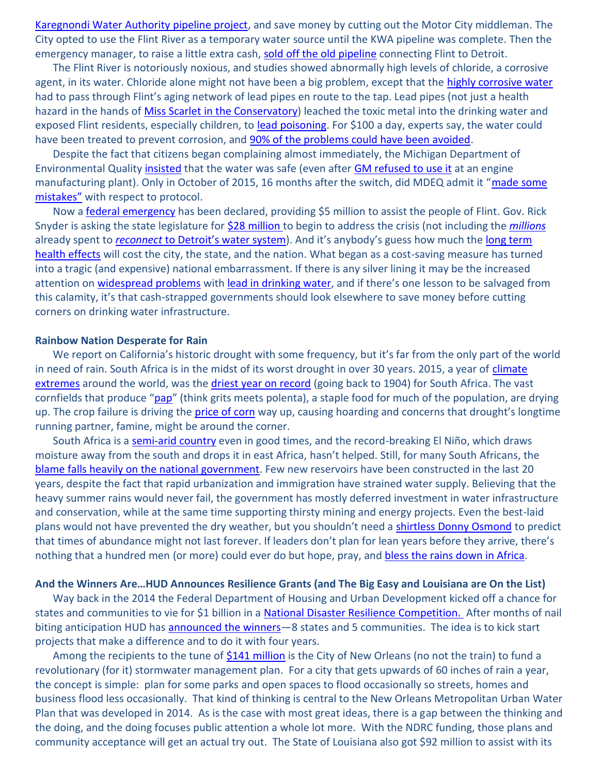[Karegnondi Water Authority](http://www.mlive.com/news/flint/index.ssf/2013/04/state_gives_flint_ok_t.html) pipeline project, and save money by cutting out the Motor City middleman. The City opted to use the Flint River as a temporary water source until the KWA pipeline was complete. Then the emergency manager, to raise a little extra cash, [sold off the old pipeline](http://www.mlive.com/news/flint/index.ssf/2014/06/emergency_manager_accepts_39_m.html) connecting Flint to Detroit.

The Flint River is notoriously noxious, and studies showed abnormally high levels of chloride, a corrosive agent, in its water. Chloride alone might not have been a big problem, except that the [highly corrosive water](http://www.mlive.com/news/flint/index.ssf/2015/09/new_testing_shows_flint_water.html) had to pass through Flint's aging network of lead pipes en route to the tap. Lead pipes (not just a health hazard in the hands of [Miss Scarlet in the Conservatory\)](https://en.wikipedia.org/wiki/Cluedo) leached the toxic metal into the drinking water and exposed Flint residents, especially children, to [lead poisoning.](http://www.mayoclinic.org/diseases-conditions/lead-poisoning/basics/definition/con-20035487) For \$100 a day, experts say, the water could have been treated to prevent corrosion, and [90% of the problems could have been avoided.](http://www.cnn.com/2016/01/19/health/flint-water-crisis/)

Despite the fact that citizens began complaining almost immediately, the Michigan Department of Environmental Quality [insisted](http://flintwaterstudy.org/2015/12/michigan-health-department-hid-evidence-of-health-harm-due-to-lead-contaminated-water-allowed-false-public-assurances-by-mdeq-and-stonewalled-outside-researchers/) that the water was safe (even after [GM refused to use it](http://www.mlive.com/news/flint/index.ssf/2014/10/general_motors_wont_use_flint.html) at an engine manufacturing plant). Only in October of 2015, 16 months after the switch, did MDEQ admit it "made some [mistakes](http://nbc25news.com/news/flint-water-woes/mdeq-admits-to-mistake-that-lead-to-contamination-of-flints-drinking-water)" with respect to protocol.

Now a [federal emergency](http://www.nytimes.com/2016/01/18/us/obama-flint-michigan-water-fema-emergency-disaster.html?_r=0) has been declared, providing \$5 million to assist the people of Flint. Gov. Rick Snyder is asking the state legislature for [\\$28 million t](http://www.crainsdetroit.com/article/20160119/NEWS/160119786/snyder-to-request-28-million-in-extra-funding-for-flint-lead-water)o begin to address the crisis (not including the *[millions](http://www.mlive.com/news/flint/index.ssf/2015/10/flint_reconnecting_to_detroit.html)* already spent to *reconnect* [to Detroit's water system](http://giphy.com/gifs/agentm-agent-m-RBeddeaQ5Xo0E/fullscreen)). And it's anybody's guess how much the long term [health effects](http://www.cbsnews.com/news/doctors-explain-the-long-term-health-effects-of-flint-water-crisis/) will cost the city, the state, and the nation. What began as a cost-saving measure has turned into a tragic (and expensive) national embarrassment. If there is any silver lining it may be the increased attention on [widespread problems](http://www.theguardian.com/environment/2016/jan/22/water-lead-content-tests-us-authorities-distorting-flint-crisis) with [lead in drinking water](https://www.yahoo.com/news/it-s-not-just-flint-that-s-poisoned-182712720.html), and if there's one lesson to be salvaged from this calamity, it's that cash-strapped governments should look elsewhere to save money before cutting corners on drinking water infrastructure.

#### **Rainbow Nation Desperate for Rain**

We report on California's historic drought with some frequency, but it's far from the only part of the world in need of rain. South Africa is in the midst of its worst drought in over 30 years. 2015, a year of climate [extremes](http://www.cnn.com/2016/01/20/us/noaa-2015-warmest-year/) around the world, was the [driest year on record](http://www.reuters.com/article/us-safrica-drought-idUSKCN0US14T20160114) (going back to 1904) for South Africa. The vast cornfields that produce "[pap](http://fabulous-food-recipes.blogspot.com/2013/06/mielie-pap.html)" (think grits meets polenta), a staple food for much of the population, are drying up. The crop failure is driving the [price of corn](http://www.timeslive.co.za/local/2016/01/20/Drought-high-maize-prices-challenge-South-African-white-pap-supremacy) way up, causing hoarding and concerns that drought's longtime running partner, famine, might be around the corner.

South Africa is a [semi-arid country](http://www.wrc.org.za/Knowledge%20Hub%20Documents/Educational%20Documents/Water%20in%20SA.pdf) even in good times, and the record-breaking El Niño, which draws moisture away from the south and drops it in east Africa, hasn't helped. Still, for many South Africans, the [blame falls heavily on the](http://mg.co.za/article/2015-11-05-too-late-to-avert-water-disaster) national government. Few new reservoirs have been constructed in the last 20 years, despite the fact that rapid urbanization and immigration have strained water supply. Believing that the heavy summer rains would never fail, the government has mostly deferred investment in water infrastructure and conservation, while at the same time supporting thirsty mining and energy projects. Even the best-laid plans would not have prevented the dry weather, but you shouldn't need a [shirtless Donny Osmond](http://www.youtube.com/watch?v=TSuRq7TFjlU&t=4m52s) to predict that times of abundance might not last forever. If leaders don't plan for lean years before they arrive, there's nothing that a hundred men (or more) could ever do but hope, pray, and [bless the rains down in Africa.](https://www.youtube.com/watch?v=acCZunXDVl0)

#### **And the Winners Are…HUD Announces Resilience Grants (and The Big Easy and Louisiana are On the List)**

Way back in the 2014 the Federal Department of Housing and Urban Development kicked off a chance for states and communities to vie for \$1 billion in a [National Disaster Resilience Competition.](http://portal.hud.gov/hudportal/HUD?src=/press/press_releases_media_advisories/2014/HUDNo_14-109) After months of nail biting anticipation HUD has [announced the winners](http://portal.hud.gov/hudportal/documents/huddoc?id=NDRCGrantProf.pdf)—8 states and 5 communities. The idea is to kick start projects that make a difference and to do it with four years.

Among the recipients to the tune of [\\$141 million](http://www.nola.com/politics/index.ssf/2016/01/gentilly_resiliency_district_g.html) is the City of New Orleans (no not the train) to fund a revolutionary (for it) stormwater management plan. For a city that gets upwards of 60 inches of rain a year, the concept is simple: plan for some parks and open spaces to flood occasionally so streets, homes and business flood less occasionally. That kind of thinking is central to the New Orleans Metropolitan Urban Water Plan that was developed in 2014. As is the case with most great ideas, there is a gap between the thinking and the doing, and the doing focuses public attention a whole lot more. With the NDRC funding, those plans and community acceptance will get an actual try out. The State of Louisiana also got \$92 million to assist with its